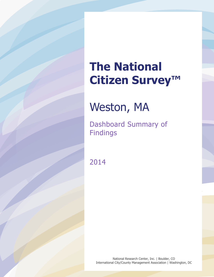# **The National Citizen Survey™**

## Weston, MA

Dashboard Summary of Findings

2014

National Research Center, Inc. | Boulder, CO International City/County Management Association | Washington, DC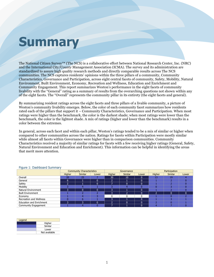# **Summary**

The National Citizen Survey™ (The NCS) is a collaborative effort between National Research Center, Inc. (NRC) and the International City/County Management Association (ICMA). The survey and its administration are standardized to assure high quality research methods and directly comparable results across The NCS communities. The NCS captures residents' opinions within the three pillars of a community, Community Characteristics, Governance and Participation, across eight central facets of community, Safety, Mobility, Natural Environment, Built Environment, Economy, Recreation and Wellness, Education and Enrichment and Community Engagement. This report summarizes Weston's performance in the eight facets of community livability with the "General" rating as a summary of results from the overarching questions not shown within any of the eight facets. The "Overall" represents the community pillar in its entirety (the eight facets and general).

By summarizing resident ratings across the eight facets and three pillars of a livable community, a picture of Weston's community livability emerges. Below, the color of each community facet summarizes how residents rated each of the pillars that support it – Community Characteristics, Governance and Participation. When most ratings were higher than the benchmark, the color is the darkest shade; when most ratings were lower than the benchmark, the color is the lightest shade. A mix of ratings (higher and lower than the benchmark) results in a color between the extremes.

In general, across each facet and within each pillar, Weston's ratings tended to be a mix of similar or higher when compared to other communities across the nation. Ratings for facets within Participation were mostly similar while almost all facets within Governance were higher than in comparison communities. Community Characteristics received a majority of similar ratings for facets with a few receiving higher ratings (General, Safety, Natural Environment and Education and Enrichment). This information can be helpful in identifying the areas that merit more attention.

|                                     | <b>Community Characteristics</b> |                |       | Governance     |                |       | Participation |                |       |
|-------------------------------------|----------------------------------|----------------|-------|----------------|----------------|-------|---------------|----------------|-------|
|                                     | Higher                           | <b>Similar</b> | Lower | Higher         | <b>Similar</b> | Lower | Higher        | <b>Similar</b> | Lower |
| Overall                             | 20                               | 25             |       | 30             | 10             |       |               | 19             |       |
| General                             | 6                                |                | 0     | っ              |                |       |               |                |       |
| Safety                              |                                  |                | 0     |                |                |       |               |                |       |
| Mobility                            |                                  |                |       |                |                |       |               |                |       |
| Natural Environment                 |                                  |                | 0     | 3              |                |       |               |                |       |
| <b>Built Environment</b><br>Economy |                                  |                |       | 3              |                |       |               |                |       |
|                                     |                                  |                |       |                |                |       |               |                |       |
| Recreation and Wellness             |                                  |                |       | 3              |                |       |               |                |       |
| <b>Education and Enrichment</b>     |                                  | 3              | 0     | $\overline{2}$ |                |       |               |                |       |
| Community Engagement                |                                  |                |       |                |                |       |               |                |       |

#### Figure 1: Dashboard Summary

| Legend |               |  |  |  |  |
|--------|---------------|--|--|--|--|
|        | Higher        |  |  |  |  |
|        | Similar       |  |  |  |  |
|        | Lower         |  |  |  |  |
|        | Not available |  |  |  |  |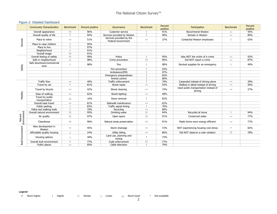### Figure 2: Detailed Dashboard

|                          | <b>Community Characteristics</b>   | <b>Benchmark</b>      | Percent positive | Governance                                            | <b>Benchmark</b>      | Percent<br>positive | Participation                                    | <b>Benchmark</b>   | Percent<br>positive |
|--------------------------|------------------------------------|-----------------------|------------------|-------------------------------------------------------|-----------------------|---------------------|--------------------------------------------------|--------------------|---------------------|
|                          | Overall appearance                 | $\uparrow \uparrow$   | 96%              | Customer service                                      |                       | 91%                 | <b>Recommend Weston</b>                          | $\leftrightarrow$  | 95%                 |
| General                  | Overall quality of life            |                       | 94%              | Services provided by Weston                           |                       | 90%                 | Remain in Weston                                 | $\leftrightarrow$  | 89%                 |
|                          | Place to retire                    | $\leftrightarrow$     | 51%              | Services provided by the<br><b>Federal Government</b> | $\leftrightarrow$     | 37%                 | Contacted Weston employees                       |                    | 63%                 |
|                          | Place to raise children            |                       | 95%              |                                                       |                       |                     |                                                  |                    |                     |
|                          | Place to live                      |                       | 97%              |                                                       |                       |                     |                                                  |                    |                     |
| Safety<br>Mobility       | Neighborhood                       |                       | 91%              |                                                       |                       |                     |                                                  |                    |                     |
|                          | Overall image                      | $\uparrow \uparrow$   | 91%              |                                                       |                       |                     |                                                  |                    |                     |
|                          | Overall feeling of safety          | $\uparrow \uparrow$   | 99%              | Police                                                |                       | 95%                 | Was NOT the victim of a crime                    | $\leftrightarrow$  | 93%                 |
|                          | Safe in neighborhood               | $\leftrightarrow$     | 98%              | Crime prevention                                      | $\uparrow \uparrow$   | 96%                 | Did NOT report a crime                           | $\leftrightarrow$  | 87%                 |
|                          | Safe downtown/commercial<br>area   | 1                     | 98%              | Fire                                                  | $\overline{ }$        | 98%                 | Stocked supplies for an emergency                |                    | 49%                 |
|                          |                                    |                       |                  | Fire prevention                                       |                       | 93%                 |                                                  |                    |                     |
|                          |                                    |                       |                  | Ambulance/EMS                                         |                       | 97%                 |                                                  |                    |                     |
|                          |                                    |                       |                  | Emergency preparedness                                |                       | 83%                 |                                                  |                    |                     |
|                          |                                    |                       |                  | Animal control                                        |                       | 80%                 |                                                  |                    |                     |
|                          | <b>Traffic flow</b>                | $\longleftrightarrow$ | 49%              | Traffic enforcement                                   |                       | 79%                 | Carpooled instead of driving alone               | $\leftrightarrow$  | 39%                 |
|                          | Travel by car                      |                       | 81%              | Street repair                                         | $\leftrightarrow$     | 55%                 | Walked or biked instead of driving               | $\leftrightarrow$  | 50%                 |
|                          | Travel by bicycle                  | $\leftrightarrow$     | 42%              | Street cleaning                                       | $\leftrightarrow$     | 73%                 | Used public transportation instead of<br>driving | $\leftrightarrow$  | 27%                 |
|                          | Ease of walking                    | $\leftrightarrow$     | 62%              | Street lighting                                       | $\leftrightarrow$     | 48%                 |                                                  |                    |                     |
|                          | Travel by public<br>transportation | Ψ                     | 16%              | Snow removal                                          |                       | 82%                 |                                                  |                    |                     |
|                          | Overall ease travel                | $\longleftrightarrow$ | 81%              | Sidewalk maintenance                                  | $\leftrightarrow$     | 62%                 |                                                  |                    |                     |
|                          | Public parking                     |                       | 83%              | Traffic signal timing                                 |                       | 70%                 |                                                  |                    |                     |
|                          | Paths and walking trails           |                       | 79%              | Recycling                                             | $\leftrightarrow$     | 89%                 |                                                  |                    |                     |
|                          | Overall natural environment        | $\uparrow\uparrow$    | 95%              | Drinking water                                        | $\uparrow \uparrow$   | 94%                 | Recycled at home                                 |                    | 94%                 |
| Natural                  | Air quality                        | $\uparrow \uparrow$   | 97%              | Open space                                            | $\uparrow \uparrow$   | 91%                 | Conserved water                                  | $\leftrightarrow$  | 77%                 |
| Environment              | Cleanliness                        | $\uparrow \uparrow$   | 96%              | Natural areas preservation                            | $\uparrow \uparrow$   | 91%                 | Made home more energy efficient                  | $\leftrightarrow$  | 77%                 |
|                          | New development in<br>Weston       | $\leftrightarrow$     | 45%              | Storm drainage                                        | $\leftrightarrow$     | 72%                 | NOT experiencing housing cost stress             |                    | 82%                 |
|                          | Affordable quality housing         |                       | 24%              | Utility billing                                       | $\longleftrightarrow$ | 86%                 | Did NOT observe a code violation                 | $\uparrow\uparrow$ | 78%                 |
| <b>Built Environment</b> | Housing options                    |                       | 30%              | Land use, planning and<br>zoning                      |                       | 73%                 |                                                  |                    |                     |
|                          | Overall built environment          |                       | 77%              | Code enforcement                                      | $\uparrow \uparrow$   | 77%                 |                                                  |                    |                     |
|                          | Public places                      | $\leftrightarrow$     | 69%              | Cable television                                      |                       | 79%                 |                                                  |                    |                     |

**Legend**

↑↑ Much higher ↑ Higher ↔ Similar ↓ Lower ↓↓ Much lower \* Not available

2